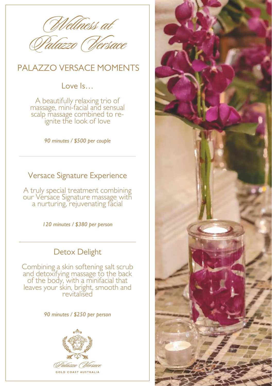

## PALAZZO VERSACE MOMENTS

Love Is…

A beautifully relaxing trio of massage, mini-facial and sensual scalp massage combined to reignite the look of love

*90 minutes / \$500 per couple*

### Versace Signature Experience

A truly special treatment combining our Versace Signature massage with a nurturing, rejuvenating facial

*120 minutes / \$380 per person*

## Detox Delight

Combining a skin softening salt scrub and detoxifying massage to the back of the body, with a minifacial that leaves your skin, bright, smooth and revitalised

#### *90 minutes / \$250 per person*



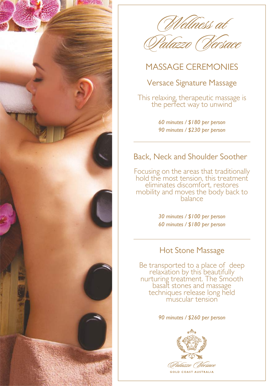

Welness at



# MASSAGE CEREMONIES

### Versace Signature Massage

This relaxing, therapeutic massage is the perfect way to unwind

> *60 minutes / \$180 per person 90 minutes / \$230 per person*

### Back, Neck and Shoulder Soother

Focusing on the areas that traditionally hold the most tension, this treatment eliminates discomfort, restores mobility and moves the body back to balance

> *30 minutes / \$100 per person 60 minutes / \$180 per person*

#### Hot Stone Massage

Be transported to a place of deep relaxation by this beautifully nurturing treatment. The Smooth basalt stones and massage techniques release long held muscular tension

#### *90 minutes / \$260 per person*